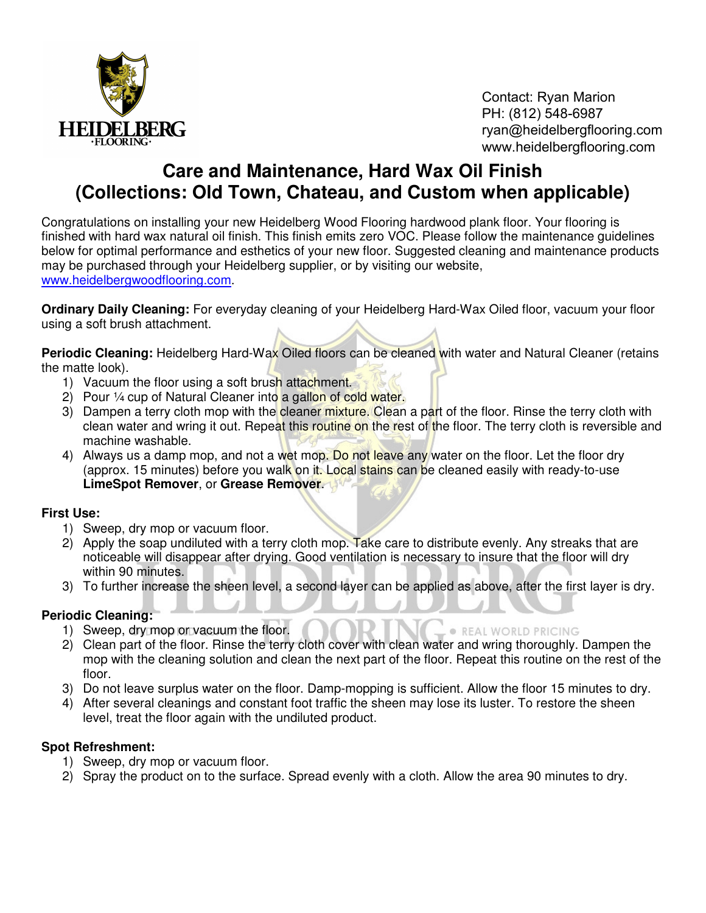

Contact: Ryan Marion PH: (812) 548-6987 ryan@heidelbergflooring.com www.heidelbergflooring.com

# **Care and Maintenance, Hard Wax Oil Finish (Collections: Old Town, Chateau, and Custom when applicable)**

Congratulations on installing your new Heidelberg Wood Flooring hardwood plank floor. Your flooring is finished with hard wax natural oil finish. This finish emits zero VOC. Please follow the maintenance guidelines below for optimal performance and esthetics of your new floor. Suggested cleaning and maintenance products may be purchased through your Heidelberg supplier, or by visiting our website, www.heidelbergwoodflooring.com.

**Ordinary Daily Cleaning:** For everyday cleaning of your Heidelberg Hard-Wax Oiled floor, vacuum your floor using a soft brush attachment.

**Periodic Cleaning:** Heidelberg Hard-Wax Oiled floors can be cleaned with water and Natural Cleaner (retains the matte look).

- 1) Vacuum the floor using a soft brush attachment.
- 2) Pour 1/4 cup of Natural Cleaner into a gallon of cold water.
- 3) Dampen a terry cloth mop with the cleaner mixture. Clean a part of the floor. Rinse the terry cloth with clean water and wring it out. Repeat this routine on the rest of the floor. The terry cloth is reversible and machine washable.
- 4) Always us a damp mop, and not a wet mop. Do not leave any water on the floor. Let the floor dry (approx. 15 minutes) before you walk on it. Local stains can be cleaned easily with ready-to-use **LimeSpot Remover**, or **Grease Remover**.

#### **First Use:**

- 1) Sweep, dry mop or vacuum floor.
- 2) Apply the soap undiluted with a terry cloth mop. Take care to distribute evenly. Any streaks that are noticeable will disappear after drying. Good ventilation is necessary to insure that the floor will dry within 90 minutes.
- 3) To further increase the sheen level, a second layer can be applied as above, after the first layer is dry.

### **Periodic Cleaning:**

- 1) Sweep, dry mop or vacuum the floor.
- 2) Clean part of the floor. Rinse the terry cloth cover with clean water and wring thoroughly. Dampen the mop with the cleaning solution and clean the next part of the floor. Repeat this routine on the rest of the floor.

**. REAL WORLD PRICING** 

- 3) Do not leave surplus water on the floor. Damp-mopping is sufficient. Allow the floor 15 minutes to dry.
- 4) After several cleanings and constant foot traffic the sheen may lose its luster. To restore the sheen level, treat the floor again with the undiluted product.

#### **Spot Refreshment:**

- 1) Sweep, dry mop or vacuum floor.
- 2) Spray the product on to the surface. Spread evenly with a cloth. Allow the area 90 minutes to dry.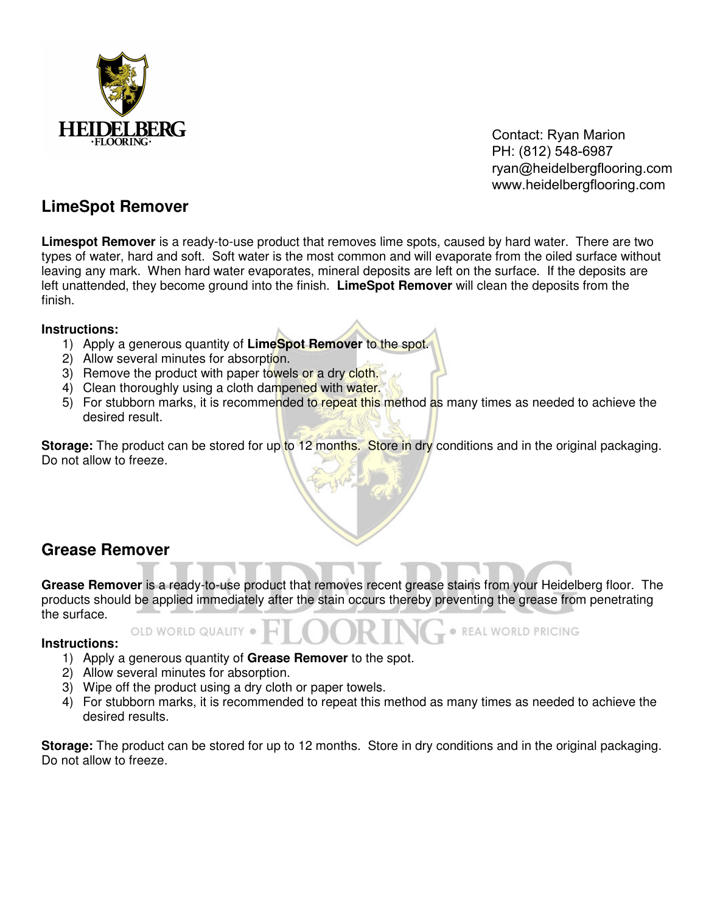

Contact: Ryan Marion PH: (812) 548-6987 ryan@heidelbergflooring.com www.heidelbergflooring.com

REAL WORLD PRICING

### **LimeSpot Remover**

**Limespot Remover** is a ready-to-use product that removes lime spots, caused by hard water. There are two types of water, hard and soft. Soft water is the most common and will evaporate from the oiled surface without leaving any mark. When hard water evaporates, mineral deposits are left on the surface. If the deposits are left unattended, they become ground into the finish. **LimeSpot Remover** will clean the deposits from the finish.

#### **Instructions:**

- 1) Apply a generous quantity of **LimeSpot Remover** to the spot.
- 2) Allow several minutes for absorption.
- 3) Remove the product with paper towels or a dry cloth.
- 4) Clean thoroughly using a cloth dampened with water.
- 5) For stubborn marks, it is recommended to repeat this method as many times as needed to achieve the desired result.

**Storage:** The product can be stored for up to 12 months. Store in dry conditions and in the original packaging. Do not allow to freeze.

## **Grease Remover**

**Grease Remover** is a ready-to-use product that removes recent grease stains from your Heidelberg floor. The products should be applied immediately after the stain occurs thereby preventing the grease from penetrating the surface.

#### **Instructions:**

- 1) Apply a generous quantity of **Grease Remover** to the spot.
- 2) Allow several minutes for absorption.

OLD WORLD QUALITY

- 3) Wipe off the product using a dry cloth or paper towels.
- 4) For stubborn marks, it is recommended to repeat this method as many times as needed to achieve the desired results.

**Storage:** The product can be stored for up to 12 months. Store in dry conditions and in the original packaging. Do not allow to freeze.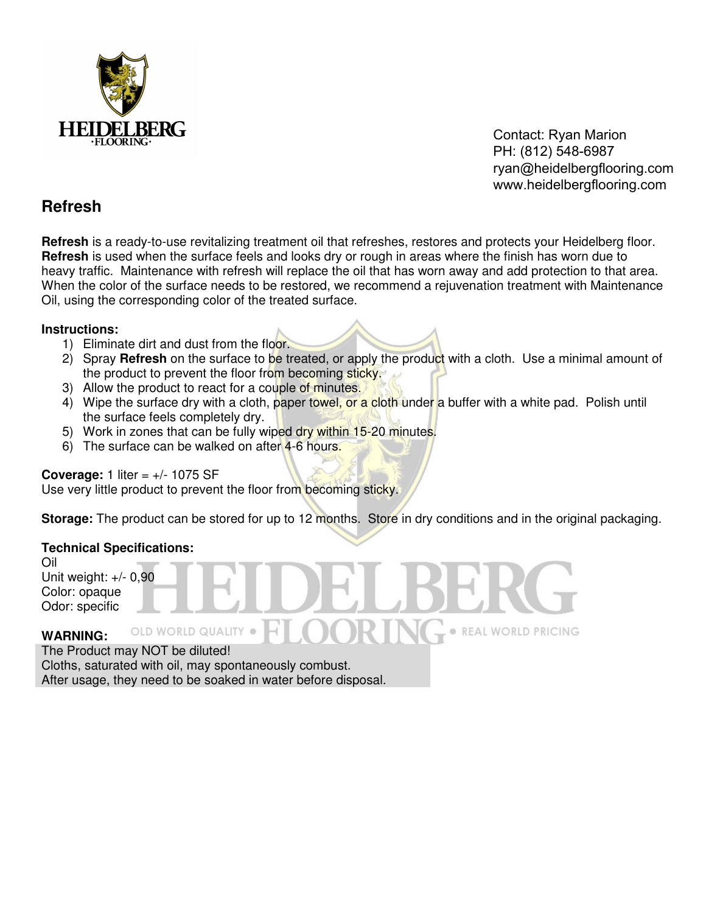

Contact: Ryan Marion PH: (812) 548-6987 ryan@heidelbergflooring.com www.heidelbergflooring.com

**• REAL WORLD PRICING** 

### **Refresh**

**Refresh** is a ready-to-use revitalizing treatment oil that refreshes, restores and protects your Heidelberg floor. **Refresh** is used when the surface feels and looks dry or rough in areas where the finish has worn due to heavy traffic. Maintenance with refresh will replace the oil that has worn away and add protection to that area. When the color of the surface needs to be restored, we recommend a rejuvenation treatment with Maintenance Oil, using the corresponding color of the treated surface.

#### **Instructions:**

- 1) Eliminate dirt and dust from the floor.
- 2) Spray **Refresh** on the surface to be treated, or apply the product with a cloth. Use a minimal amount of the product to prevent the floor from becoming sticky.
- 3) Allow the product to react for a couple of minutes.
- 4) Wipe the surface dry with a cloth, paper towel, or a cloth under a buffer with a white pad. Polish until the surface feels completely dry.
- 5) Work in zones that can be fully wiped dry within 15-20 minutes.
- 6) The surface can be walked on after 4-6 hours.

#### **Coverage:** 1 liter  $= +/- 1075$  SF

Use very little product to prevent the floor from becoming sticky.

**Storage:** The product can be stored for up to 12 months. Store in dry conditions and in the original packaging.

#### **Technical Specifications:**

Oil Unit weight: +/- 0,90 Color: opaque Odor: specific

#### OLD WORLD QUALITY . **WARNING:**

The Product may NOT be diluted!

Cloths, saturated with oil, may spontaneously combust. After usage, they need to be soaked in water before disposal.